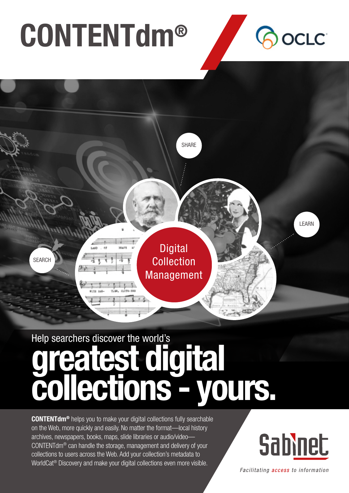# CONTENTdm®





## Help searchers discover the world's greatest digital collections - yours.

CONTENTdm® helps you to make your digital collections fully searchable on the Web, more quickly and easily. No matter the format—local history archives, newspapers, books, maps, slide libraries or audio/video— CONTENTdm® can handle the storage, management and delivery of your collections to users across the Web. Add your collection's metadata to WorldCat® Discovery and make your digital collections even more visible.



Facilitating access to information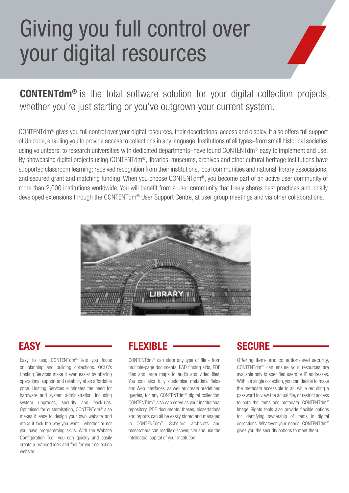## Giving you full control over your digital resources

CONTENTdm® is the total software solution for your digital collection projects, whether you're just starting or you've outgrown your current system.

CONTENTdm® gives you full control over your digital resources, their descriptions, access and display. It also offers full support of Unicode, enabling you to provide access to collections in any language. Institutions of all types–from small historical societies using volunteers, to research universities with dedicated departments–have found CONTENTdm<sup>®</sup> easy to implement and use. By showcasing digital projects using CONTENTdm®, libraries, museums, archives and other cultural heritage institutions have supported classroom learning; received recognition from their institutions, local communities and national library associations; and secured grant and matching funding. When you choose CONTENTdm®, you become part of an active user community of more than 2,000 institutions worldwide. You will benefit from a user community that freely shares best practices and locally developed extensions through the CONTENTdm® User Support Centre, at user group meetings and via other collaborations.



Easy to use, CONTENTdm® lets you focus on planning and building collections. OCLC's Hosting Services make it even easier by offering operational support and reliability at an affordable price. Hosting Services eliminates the need for hardware and system administration, including system upgrades, security and back-ups. Optimised for customisation, CONTENTdm® also makes it easy to design your own website and make it look the way you want - whether or not you have programming skills. With the Website Configuration Tool, you can quickly and easily create a branded look and feel for your collection website.

### EASY FLEXIBLE SECURE

CONTENTdm® can store any type of file - from multiple-page documents, EAD finding aids, PDF files and large maps to audio and video files. You can also fully customise metadata fields and Web interfaces, as well as create predefined queries, for any CONTENTdm® digital collection. CONTENTdm® also can serve as your institutional repository. PDF documents, theses, dissertations and reports can all be easily stored and managed in CONTENTdm®. Scholars, archivists and researchers can readily discover, cite and use the intellectual capital of your institution.

Offering item- and collection-level security, CONTENTdm® can ensure your resources are available only to specified users or IP addresses. Within a single collection, you can decide to make the metadata accessible to all, while requiring a password to view the actual file, or restrict access to both the items and metadata. CONTENTdm® Image Rights tools also provide flexible options for identifying ownership of items in digital collections. Whatever your needs, CONTENTdm® gives you the security options to meet them.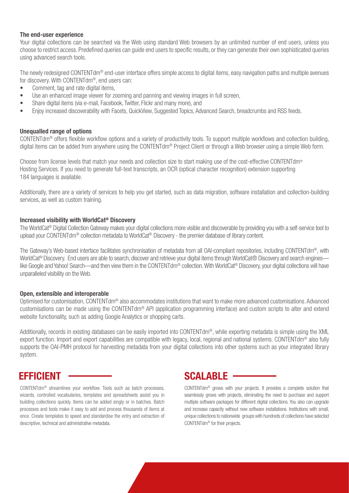#### The end-user experience

Your digital collections can be searched via the Web using standard Web browsers by an unlimited number of end users, unless you choose to restrict access. Predefined queries can guide end users to specific results, or they can generate their own sophisticated queries using advanced search tools.

The newly redesigned CONTENTdm<sup>®</sup> end-user interface offers simple access to digital items, easy navigation paths and multiple avenues for discovery. With CONTENTdm®, end users can:

- Comment, tag and rate digital items,
- Use an enhanced image viewer for zooming and panning and viewing images in full screen,
- Share digital items (via e-mail, Facebook, Twitter, Flickr and many more), and
- Enjoy increased discoverability with Facets, QuickView, Suggested Topics, Advanced Search, breadcrumbs and RSS feeds.

#### Unequalled range of options

CONTENTdm® offers flexible workflow options and a variety of productivity tools. To support multiple workflows and collection building, digital items can be added from anywhere using the CONTENTdm<sup>®</sup> Project Client or through a Web browser using a simple Web form.

Choose from license levels that match your needs and collection size to start making use of the cost-effective CONTENTdm® Hosting Services. If you need to generate full-text transcripts, an OCR (optical character recognition) extension supporting 184 languages is available.

Additionally, there are a variety of services to help you get started, such as data migration, software installation and collection-building services, as well as custom training.

#### Increased visibility with WorldCat® Discovery

The WorldCat® Digital Collection Gateway makes your digital collections more visible and discoverable by providing you with a self-service tool to upload your CONTENTdm® collection metadata to WorldCat® Discovery - the premier database of library content.

The Gateway's Web-based interface facilitates synchronisation of metadata from all OAI-compliant repositories, including CONTENTdm®, with WorldCat<sup>®</sup> Discovery. End users are able to search, discover and retrieve your digital items through WorldCat® Discovery and search engines like Google and Yahoo! Search—and then view them in the CONTENTdm® collection. With WorldCat® Discovery, your digital collections will have unparalleled visibility on the Web.

#### Open, extensible and interoperable

Optimised for customisation, CONTENTdm® also accommodates institutions that want to make more advanced customisations. Advanced customisations can be made using the CONTENTdm® API (application programming interface) and custom scripts to alter and extend website functionality, such as adding Google Analytics or shopping carts.

Additionally, records in existing databases can be easily imported into CONTENTdm®, while exporting metadata is simple using the XML export function. Import and export capabilities are compatible with legacy, local, regional and national systems. CONTENTdm<sup>®</sup> also fully supports the OAI-PMH protocol for harvesting metadata from your digital collections into other systems such as your integrated library system.

CONTENTdm® streamlines your workflow. Tools such as batch processes, wizards, controlled vocabularies, templates and spreadsheets assist you in building collections quickly. Items can be added singly or in batches. Batch processes and tools make it easy to add and process thousands of items at once. Create templates to speed and standardise the entry and extraction of descriptive, technical and administrative metadata.

### EFFICIENT CONTINUES AND SCALABLE SCALABLE

CONTENTdm® grows with your projects. It provides a complete solution that seamlessly grows with projects, eliminating the need to purchase and support multiple software packages for different digital collections. You also can upgrade and increase capacity without new software installations. Institutions with small, unique collections to nationwide groups with hundreds of collections have selected CONTENTdm® for their projects.